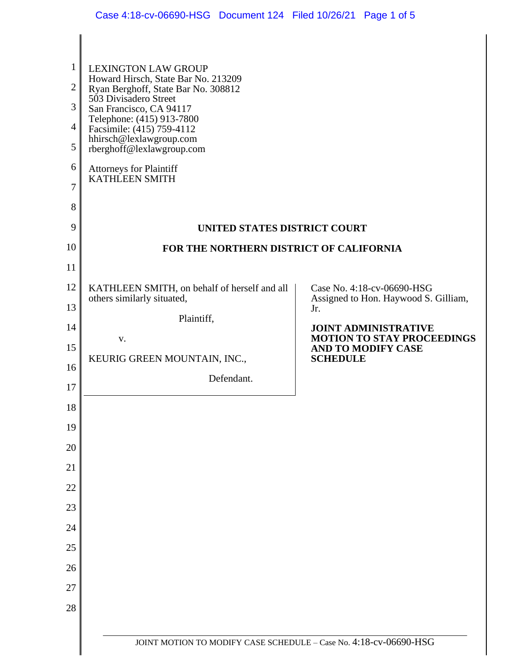| $\mathbf{1}$<br>$\overline{2}$<br>3<br>$\overline{4}$<br>5<br>6<br>7<br>8<br>9 | <b>LEXINGTON LAW GROUP</b><br>Howard Hirsch, State Bar No. 213209<br>Ryan Berghoff, State Bar No. 308812<br>503 Divisadero Street<br>San Francisco, CA 94117<br>Telephone: (415) 913-7800<br>Facsimile: (415) 759-4112<br>hhirsch@lexlawgroup.com<br>rberghoff@lexlawgroup.com<br><b>Attorneys for Plaintiff<br/>KATHLEEN SMITH</b> |                                                                            |
|--------------------------------------------------------------------------------|-------------------------------------------------------------------------------------------------------------------------------------------------------------------------------------------------------------------------------------------------------------------------------------------------------------------------------------|----------------------------------------------------------------------------|
| 10                                                                             | UNITED STATES DISTRICT COURT<br>FOR THE NORTHERN DISTRICT OF CALIFORNIA                                                                                                                                                                                                                                                             |                                                                            |
| 11                                                                             |                                                                                                                                                                                                                                                                                                                                     |                                                                            |
| 12                                                                             | KATHLEEN SMITH, on behalf of herself and all                                                                                                                                                                                                                                                                                        | Case No. 4:18-cv-06690-HSG                                                 |
| 13                                                                             | others similarly situated,                                                                                                                                                                                                                                                                                                          | Assigned to Hon. Haywood S. Gilliam,<br>Jr.                                |
| 14                                                                             | Plaintiff,                                                                                                                                                                                                                                                                                                                          | <b>JOINT ADMINISTRATIVE</b>                                                |
| 15                                                                             | V.<br>KEURIG GREEN MOUNTAIN, INC.,                                                                                                                                                                                                                                                                                                  | <b>MOTION TO STAY PROCEEDINGS</b><br>AND TO MODIFY CASE<br><b>SCHEDULE</b> |
| 16                                                                             | Defendant.                                                                                                                                                                                                                                                                                                                          |                                                                            |
| 17                                                                             |                                                                                                                                                                                                                                                                                                                                     |                                                                            |
| 18                                                                             |                                                                                                                                                                                                                                                                                                                                     |                                                                            |
| 19                                                                             |                                                                                                                                                                                                                                                                                                                                     |                                                                            |
| 20<br>21                                                                       |                                                                                                                                                                                                                                                                                                                                     |                                                                            |
| 22                                                                             |                                                                                                                                                                                                                                                                                                                                     |                                                                            |
| 23                                                                             |                                                                                                                                                                                                                                                                                                                                     |                                                                            |
| 24                                                                             |                                                                                                                                                                                                                                                                                                                                     |                                                                            |
| 25                                                                             |                                                                                                                                                                                                                                                                                                                                     |                                                                            |
| 26                                                                             |                                                                                                                                                                                                                                                                                                                                     |                                                                            |
| 27                                                                             |                                                                                                                                                                                                                                                                                                                                     |                                                                            |
| 28                                                                             |                                                                                                                                                                                                                                                                                                                                     |                                                                            |
|                                                                                |                                                                                                                                                                                                                                                                                                                                     |                                                                            |
|                                                                                | JOINT MOTION TO MODIFY CASE SCHEDULE - Case No. 4:18-cv-06690-HSG                                                                                                                                                                                                                                                                   |                                                                            |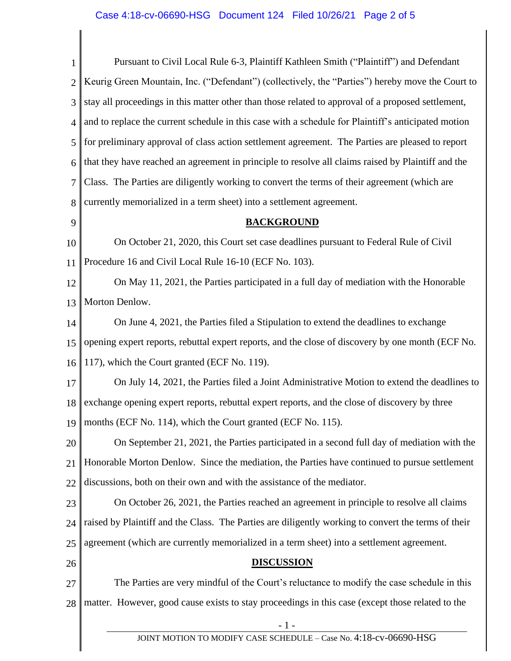1 2 3 4 5 6 7 8 9 10 11 12 13 14 15 16 17 18 19 20 21 22 23 24 25 26 27 28 - 1 - Pursuant to Civil Local Rule 6-3, Plaintiff Kathleen Smith ("Plaintiff") and Defendant Keurig Green Mountain, Inc. ("Defendant") (collectively, the "Parties") hereby move the Court to stay all proceedings in this matter other than those related to approval of a proposed settlement, and to replace the current schedule in this case with a schedule for Plaintiff's anticipated motion for preliminary approval of class action settlement agreement. The Parties are pleased to report that they have reached an agreement in principle to resolve all claims raised by Plaintiff and the Class. The Parties are diligently working to convert the terms of their agreement (which are currently memorialized in a term sheet) into a settlement agreement. **BACKGROUND** On October 21, 2020, this Court set case deadlines pursuant to Federal Rule of Civil Procedure 16 and Civil Local Rule 16-10 (ECF No. 103). On May 11, 2021, the Parties participated in a full day of mediation with the Honorable Morton Denlow. On June 4, 2021, the Parties filed a Stipulation to extend the deadlines to exchange opening expert reports, rebuttal expert reports, and the close of discovery by one month (ECF No. 117), which the Court granted (ECF No. 119). On July 14, 2021, the Parties filed a Joint Administrative Motion to extend the deadlines to exchange opening expert reports, rebuttal expert reports, and the close of discovery by three months (ECF No. 114), which the Court granted (ECF No. 115). On September 21, 2021, the Parties participated in a second full day of mediation with the Honorable Morton Denlow. Since the mediation, the Parties have continued to pursue settlement discussions, both on their own and with the assistance of the mediator. On October 26, 2021, the Parties reached an agreement in principle to resolve all claims raised by Plaintiff and the Class. The Parties are diligently working to convert the terms of their agreement (which are currently memorialized in a term sheet) into a settlement agreement. **DISCUSSION** The Parties are very mindful of the Court's reluctance to modify the case schedule in this matter. However, good cause exists to stay proceedings in this case (except those related to the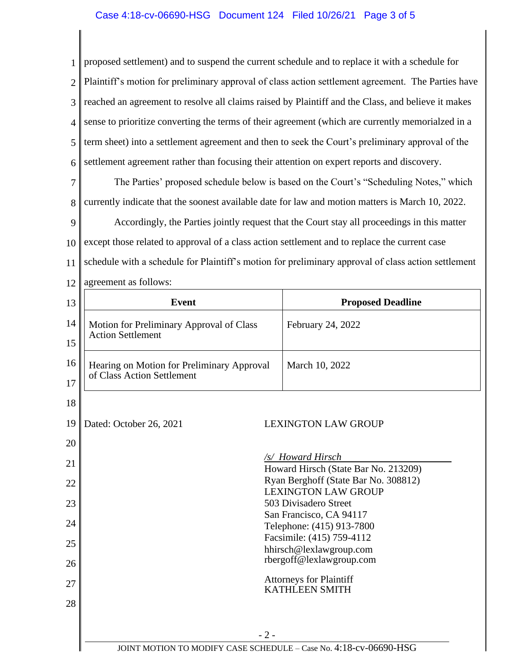1 2 3 4 5 6 proposed settlement) and to suspend the current schedule and to replace it with a schedule for Plaintiff's motion for preliminary approval of class action settlement agreement. The Parties have reached an agreement to resolve all claims raised by Plaintiff and the Class, and believe it makes sense to prioritize converting the terms of their agreement (which are currently memorialzed in a term sheet) into a settlement agreement and then to seek the Court's preliminary approval of the settlement agreement rather than focusing their attention on expert reports and discovery.

7 8 The Parties' proposed schedule below is based on the Court's "Scheduling Notes," which currently indicate that the soonest available date for law and motion matters is March 10, 2022.

9 10 11 Accordingly, the Parties jointly request that the Court stay all proceedings in this matter except those related to approval of a class action settlement and to replace the current case schedule with a schedule for Plaintiff's motion for preliminary approval of class action settlement

12 agreement as follows:

| 13 | <b>Event</b>                                                                 | <b>Proposed Deadline</b>   |
|----|------------------------------------------------------------------------------|----------------------------|
| 14 | Motion for Preliminary Approval of Class<br><b>Action Settlement</b>         | February 24, 2022          |
| 15 |                                                                              |                            |
| 16 | Hearing on Motion for Preliminary Approval<br>of Class Action Settlement     | March 10, 2022             |
| 17 |                                                                              |                            |
| 18 |                                                                              |                            |
| 19 | Dated: October 26, 2021                                                      | <b>LEXINGTON LAW GROUP</b> |
| 20 |                                                                              |                            |
| 21 |                                                                              | /s/ Howard Hirsch          |
| 22 | Howard Hirsch (State Bar No. 213209)<br>Ryan Berghoff (State Bar No. 308812) |                            |
|    | <b>LEXINGTON LAW GROUP</b>                                                   |                            |
| 23 | 503 Divisadero Street                                                        |                            |
| 24 | San Francisco, CA 94117<br>Telephone: (415) 913-7800                         |                            |
|    |                                                                              | Facsimile: (415) 759-4112  |
| 25 | hhirsch@lexlawgroup.com                                                      |                            |
| 26 | rbergoff@lexlawgroup.com                                                     |                            |
| 27 | <b>Attorneys for Plaintiff</b><br><b>KATHLEEN SMITH</b>                      |                            |
| 28 |                                                                              |                            |
|    |                                                                              |                            |
|    | $-2-$                                                                        |                            |
|    | JOINT MOTION TO MODIFY CASE SCHEDULE - Case No. 4:18-cv-06690-HSG            |                            |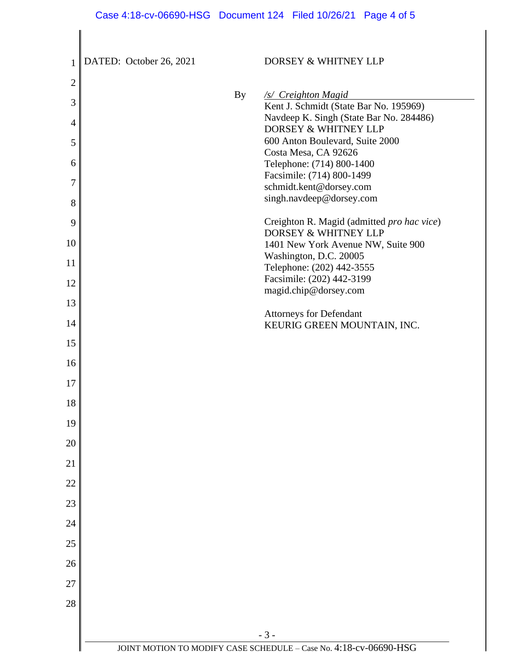## Case 4:18-cv-06690-HSG Document 124 Filed 10/26/21 Page 4 of 5

| 1              | DATED: October 26, 2021 | DORSEY & WHITNEY LLP                                                  |
|----------------|-------------------------|-----------------------------------------------------------------------|
| $\overline{2}$ |                         |                                                                       |
| 3              | <b>By</b>               | /s/ Creighton Magid<br>Kent J. Schmidt (State Bar No. 195969)         |
| 4              |                         | Navdeep K. Singh (State Bar No. 284486)                               |
|                |                         | DORSEY & WHITNEY LLP<br>600 Anton Boulevard, Suite 2000               |
| 5              |                         | Costa Mesa, CA 92626                                                  |
| 6              |                         | Telephone: (714) 800-1400                                             |
| 7              |                         | Facsimile: (714) 800-1499<br>schmidt.kent@dorsey.com                  |
| 8              |                         | singh.navdeep@dorsey.com                                              |
| 9              |                         | Creighton R. Magid (admitted pro hac vice)                            |
| 10             |                         | <b>DORSEY &amp; WHITNEY LLP</b><br>1401 New York Avenue NW, Suite 900 |
| 11             |                         | Washington, D.C. 20005                                                |
|                |                         | Telephone: (202) 442-3555<br>Facsimile: (202) 442-3199                |
| 12             |                         | magid.chip@dorsey.com                                                 |
| 13             |                         | <b>Attorneys for Defendant</b>                                        |
| 14             |                         | KEURIG GREEN MOUNTAIN, INC.                                           |
| 15             |                         |                                                                       |
| 16             |                         |                                                                       |
| 17             |                         |                                                                       |
| 18             |                         |                                                                       |
| 19             |                         |                                                                       |
| 20             |                         |                                                                       |
| 21             |                         |                                                                       |
| 22             |                         |                                                                       |
| 23             |                         |                                                                       |
| 24             |                         |                                                                       |
| 25             |                         |                                                                       |
| 26             |                         |                                                                       |
| 27             |                         |                                                                       |
| 28             |                         |                                                                       |
|                |                         |                                                                       |
|                |                         | $-3-$                                                                 |
|                |                         | JOINT MOTION TO MODIFY CASE SCHEDULE - Case No. 4:18-cv-06690-HSG     |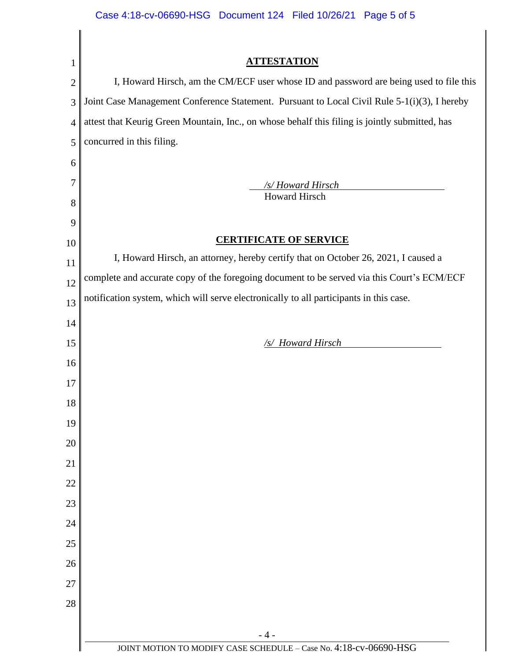| 1              | <b>ATTESTATION</b>                                                                                                                                                                   |  |  |
|----------------|--------------------------------------------------------------------------------------------------------------------------------------------------------------------------------------|--|--|
| $\overline{2}$ | I, Howard Hirsch, am the CM/ECF user whose ID and password are being used to file this                                                                                               |  |  |
| 3              | Joint Case Management Conference Statement. Pursuant to Local Civil Rule 5-1(i)(3), I hereby                                                                                         |  |  |
| 4              | attest that Keurig Green Mountain, Inc., on whose behalf this filing is jointly submitted, has                                                                                       |  |  |
| 5              | concurred in this filing.                                                                                                                                                            |  |  |
| 6              |                                                                                                                                                                                      |  |  |
| 7              | /s/Howard Hirsch                                                                                                                                                                     |  |  |
| 8              | <b>Howard Hirsch</b>                                                                                                                                                                 |  |  |
| 9              |                                                                                                                                                                                      |  |  |
| 10             | <b>CERTIFICATE OF SERVICE</b>                                                                                                                                                        |  |  |
| 11             | I, Howard Hirsch, an attorney, hereby certify that on October 26, 2021, I caused a                                                                                                   |  |  |
| 12             | complete and accurate copy of the foregoing document to be served via this Court's ECM/ECF<br>notification system, which will serve electronically to all participants in this case. |  |  |
| 13             |                                                                                                                                                                                      |  |  |
| 14             |                                                                                                                                                                                      |  |  |
| 15             | /s/ Howard Hirsch                                                                                                                                                                    |  |  |
| 16             |                                                                                                                                                                                      |  |  |
| 17             |                                                                                                                                                                                      |  |  |
| 18             |                                                                                                                                                                                      |  |  |
| 19             |                                                                                                                                                                                      |  |  |
| 20             |                                                                                                                                                                                      |  |  |
| 21             |                                                                                                                                                                                      |  |  |
| 22             |                                                                                                                                                                                      |  |  |
| 23             |                                                                                                                                                                                      |  |  |
| 24             |                                                                                                                                                                                      |  |  |
| 25             |                                                                                                                                                                                      |  |  |
| 26             |                                                                                                                                                                                      |  |  |
| 27             |                                                                                                                                                                                      |  |  |
| 28             |                                                                                                                                                                                      |  |  |
|                |                                                                                                                                                                                      |  |  |
|                | $-4-$<br>JOINT MOTION TO MODIFY CASE SCHEDULE - Case No. 4:18-cv-06690-HSG                                                                                                           |  |  |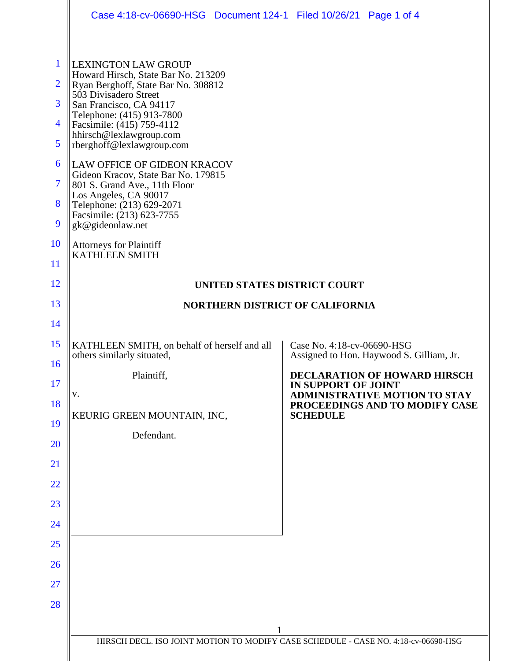|                                                                                 | Case 4:18-cv-06690-HSG  Document 124-1  Filed 10/26/21  Page 1 of 4                                                                                                                                                                                                                                                                                                                                                                                                                                                                                     |                                                                        |
|---------------------------------------------------------------------------------|---------------------------------------------------------------------------------------------------------------------------------------------------------------------------------------------------------------------------------------------------------------------------------------------------------------------------------------------------------------------------------------------------------------------------------------------------------------------------------------------------------------------------------------------------------|------------------------------------------------------------------------|
| 1<br>$\overline{2}$<br>3<br>$\overline{4}$<br>5<br>6<br>7<br>8<br>9<br>10<br>11 | <b>LEXINGTON LAW GROUP</b><br>Howard Hirsch, State Bar No. 213209<br>Ryan Berghoff, State Bar No. 308812<br>503 Divisadero Street<br>San Francisco, CA 94117<br>Telephone: (415) 913-7800<br>Facsimile: (415) 759-4112<br>hhirsch@lexlawgroup.com<br>rberghoff@lexlawgroup.com<br><b>LAW OFFICE OF GIDEON KRACOV</b><br>Gideon Kracov, State Bar No. 179815<br>801 S. Grand Ave., 11th Floor<br>Los Angeles, CA 90017<br>Telephone: (213) 629-2071<br>Facsimile: (213) 623-7755<br>gk@gideonlaw.net<br><b>Attorneys for Plaintiff</b><br>KATHLEEN SMITH |                                                                        |
| 12                                                                              | UNITED STATES DISTRICT COURT                                                                                                                                                                                                                                                                                                                                                                                                                                                                                                                            |                                                                        |
| 13                                                                              | <b>NORTHERN DISTRICT OF CALIFORNIA</b>                                                                                                                                                                                                                                                                                                                                                                                                                                                                                                                  |                                                                        |
| 14                                                                              |                                                                                                                                                                                                                                                                                                                                                                                                                                                                                                                                                         |                                                                        |
| 15                                                                              | KATHLEEN SMITH, on behalf of herself and all<br>others similarly situated,                                                                                                                                                                                                                                                                                                                                                                                                                                                                              | Case No. 4:18-cv-06690-HSG<br>Assigned to Hon. Haywood S. Gilliam, Jr. |
| 16<br>17                                                                        | Plaintiff,                                                                                                                                                                                                                                                                                                                                                                                                                                                                                                                                              | <b>DECLARATION OF HOWARD HIRSCH</b><br><b>IN SUPPORT OF JOINT</b>      |
| 18                                                                              | v.                                                                                                                                                                                                                                                                                                                                                                                                                                                                                                                                                      | <b>ADMINISTRATIVE MOTION TO STAY</b><br>PROCEEDINGS AND TO MODIFY CASE |
| 19                                                                              | KEURIG GREEN MOUNTAIN, INC,                                                                                                                                                                                                                                                                                                                                                                                                                                                                                                                             | <b>SCHEDULE</b>                                                        |
| 20                                                                              | Defendant.                                                                                                                                                                                                                                                                                                                                                                                                                                                                                                                                              |                                                                        |
| 21                                                                              |                                                                                                                                                                                                                                                                                                                                                                                                                                                                                                                                                         |                                                                        |
| 22                                                                              |                                                                                                                                                                                                                                                                                                                                                                                                                                                                                                                                                         |                                                                        |
| 23                                                                              |                                                                                                                                                                                                                                                                                                                                                                                                                                                                                                                                                         |                                                                        |
| 24                                                                              |                                                                                                                                                                                                                                                                                                                                                                                                                                                                                                                                                         |                                                                        |
| 25                                                                              |                                                                                                                                                                                                                                                                                                                                                                                                                                                                                                                                                         |                                                                        |
| 26                                                                              |                                                                                                                                                                                                                                                                                                                                                                                                                                                                                                                                                         |                                                                        |
|                                                                                 |                                                                                                                                                                                                                                                                                                                                                                                                                                                                                                                                                         |                                                                        |
| 27                                                                              |                                                                                                                                                                                                                                                                                                                                                                                                                                                                                                                                                         |                                                                        |
| 28                                                                              |                                                                                                                                                                                                                                                                                                                                                                                                                                                                                                                                                         |                                                                        |
|                                                                                 | 1<br>HIRSCH DECL. ISO JOINT MOTION TO MODIFY CASE SCHEDULE - CASE NO. 4:18-cv-06690-HSG                                                                                                                                                                                                                                                                                                                                                                                                                                                                 |                                                                        |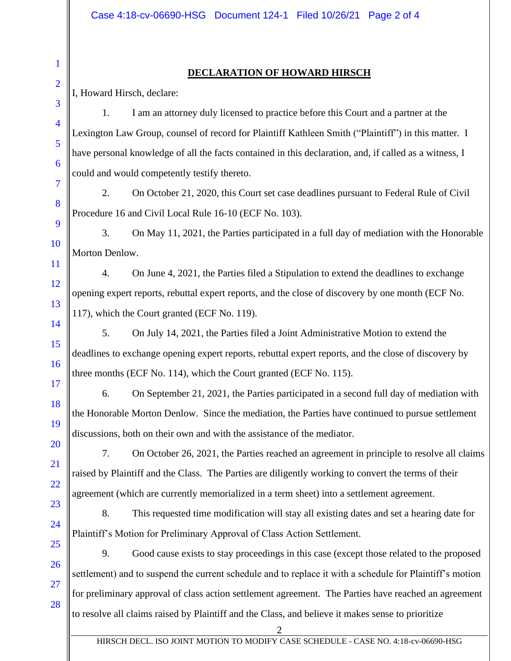## **DECLARATION OF HOWARD HIRSCH**

I, Howard Hirsch, declare:

1. I am an attorney duly licensed to practice before this Court and a partner at the Lexington Law Group, counsel of record for Plaintiff Kathleen Smith ("Plaintiff") in this matter. I have personal knowledge of all the facts contained in this declaration, and, if called as a witness, I could and would competently testify thereto.

2. On October 21, 2020, this Court set case deadlines pursuant to Federal Rule of Civil Procedure 16 and Civil Local Rule 16-10 (ECF No. 103).

3. On May 11, 2021, the Parties participated in a full day of mediation with the Honorable Morton Denlow.

4. On June 4, 2021, the Parties filed a Stipulation to extend the deadlines to exchange opening expert reports, rebuttal expert reports, and the close of discovery by one month (ECF No. 117), which the Court granted (ECF No. 119).

5. On July 14, 2021, the Parties filed a Joint Administrative Motion to extend the deadlines to exchange opening expert reports, rebuttal expert reports, and the close of discovery by three months (ECF No. 114), which the Court granted (ECF No. 115).

6. On September 21, 2021, the Parties participated in a second full day of mediation with the Honorable Morton Denlow. Since the mediation, the Parties have continued to pursue settlement discussions, both on their own and with the assistance of the mediator.

7. On October 26, 2021, the Parties reached an agreement in principle to resolve all claims raised by Plaintiff and the Class. The Parties are diligently working to convert the terms of their agreement (which are currently memorialized in a term sheet) into a settlement agreement.

8. This requested time modification will stay all existing dates and set a hearing date for Plaintiff's Motion for Preliminary Approval of Class Action Settlement.

9. Good cause exists to stay proceedings in this case (except those related to the proposed settlement) and to suspend the current schedule and to replace it with a schedule for Plaintiff's motion for preliminary approval of class action settlement agreement. The Parties have reached an agreement to resolve all claims raised by Plaintiff and the Class, and believe it makes sense to prioritize

28

1

2

3

4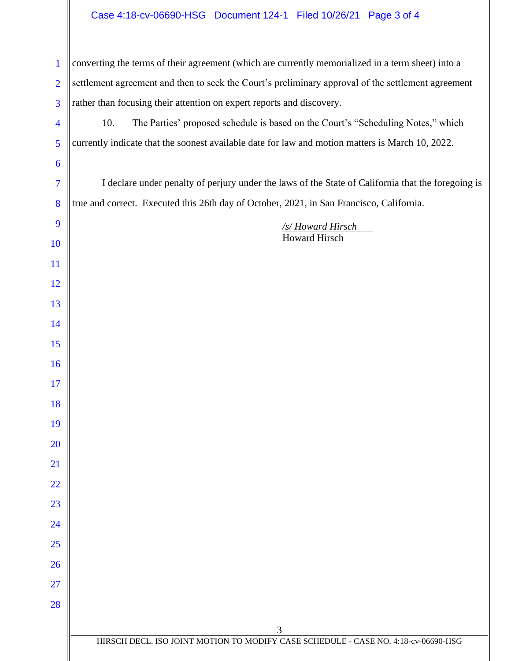## Case 4:18-cv-06690-HSG Document 124-1 Filed 10/26/21 Page 3 of 4

 $\parallel$ 

| $\mathbf{1}$   | converting the terms of their agreement (which are currently memorialized in a term sheet) into a  |  |  |
|----------------|----------------------------------------------------------------------------------------------------|--|--|
| $\overline{2}$ | settlement agreement and then to seek the Court's preliminary approval of the settlement agreement |  |  |
| 3              | rather than focusing their attention on expert reports and discovery.                              |  |  |
| $\overline{4}$ | The Parties' proposed schedule is based on the Court's "Scheduling Notes," which<br>10.            |  |  |
| 5              | currently indicate that the soonest available date for law and motion matters is March 10, 2022.   |  |  |
| 6              |                                                                                                    |  |  |
| 7              | I declare under penalty of perjury under the laws of the State of California that the foregoing is |  |  |
| 8              | true and correct. Executed this 26th day of October, 2021, in San Francisco, California.           |  |  |
| 9              | /s/Howard Hirsch                                                                                   |  |  |
| 10             | Howard Hirsch                                                                                      |  |  |
| 11             |                                                                                                    |  |  |
| 12             |                                                                                                    |  |  |
| 13             |                                                                                                    |  |  |
| 14             |                                                                                                    |  |  |
| 15             |                                                                                                    |  |  |
| 16             |                                                                                                    |  |  |
| 17             |                                                                                                    |  |  |
| 18             |                                                                                                    |  |  |
| 19             |                                                                                                    |  |  |
| 20             |                                                                                                    |  |  |
| 21             |                                                                                                    |  |  |
| 22             |                                                                                                    |  |  |
| 23             |                                                                                                    |  |  |
| 24             |                                                                                                    |  |  |
| 25             |                                                                                                    |  |  |
| 26             |                                                                                                    |  |  |
| 27             |                                                                                                    |  |  |
| 28             |                                                                                                    |  |  |
|                | 3                                                                                                  |  |  |
|                | HIRSCH DECL. ISO JOINT MOTION TO MODIFY CASE SCHEDULE - CASE NO. 4:18-cv-06690-HSG                 |  |  |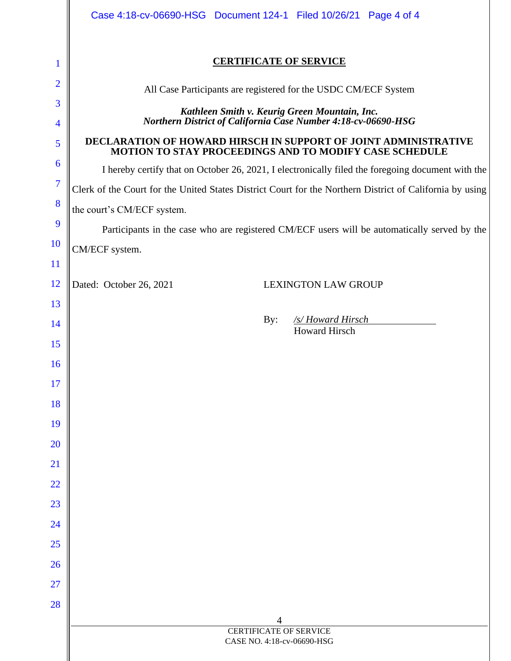|                | Case 4:18-cv-06690-HSG Document 124-1 Filed 10/26/21 Page 4 of 4                                                                 |  |  |
|----------------|----------------------------------------------------------------------------------------------------------------------------------|--|--|
| 1              | <b>CERTIFICATE OF SERVICE</b>                                                                                                    |  |  |
| $\overline{2}$ | All Case Participants are registered for the USDC CM/ECF System                                                                  |  |  |
| 3              | Kathleen Smith v. Keurig Green Mountain, Inc.                                                                                    |  |  |
| 4              | Northern District of California Case Number 4:18-cv-06690-HSG                                                                    |  |  |
| 5              | <b>DECLARATION OF HOWARD HIRSCH IN SUPPORT OF JOINT ADMINISTRATIVE</b><br>MOTION TO STAY PROCEEDINGS AND TO MODIFY CASE SCHEDULE |  |  |
| 6              | I hereby certify that on October 26, 2021, I electronically filed the foregoing document with the                                |  |  |
| $\overline{7}$ | Clerk of the Court for the United States District Court for the Northern District of California by using                         |  |  |
| 8              | the court's CM/ECF system.                                                                                                       |  |  |
| 9              | Participants in the case who are registered CM/ECF users will be automatically served by the                                     |  |  |
| <b>10</b>      | CM/ECF system.                                                                                                                   |  |  |
| 11             |                                                                                                                                  |  |  |
| <sup>12</sup>  | Dated: October 26, 2021<br><b>LEXINGTON LAW GROUP</b>                                                                            |  |  |
| 13             |                                                                                                                                  |  |  |
| 14             | /s/Howard Hirsch<br>By:<br><b>Howard Hirsch</b>                                                                                  |  |  |
| 15             |                                                                                                                                  |  |  |
| <b>16</b>      |                                                                                                                                  |  |  |
| 17             |                                                                                                                                  |  |  |
| 18             |                                                                                                                                  |  |  |
| 19             |                                                                                                                                  |  |  |
| 20             |                                                                                                                                  |  |  |
| 21             |                                                                                                                                  |  |  |
| 22             |                                                                                                                                  |  |  |
| 23             |                                                                                                                                  |  |  |
| 24             |                                                                                                                                  |  |  |
| 25             |                                                                                                                                  |  |  |
| 26             |                                                                                                                                  |  |  |
| 27             |                                                                                                                                  |  |  |
| 28             | 4                                                                                                                                |  |  |
|                | <b>CERTIFICATE OF SERVICE</b><br>CASE NO. 4:18-cv-06690-HSG                                                                      |  |  |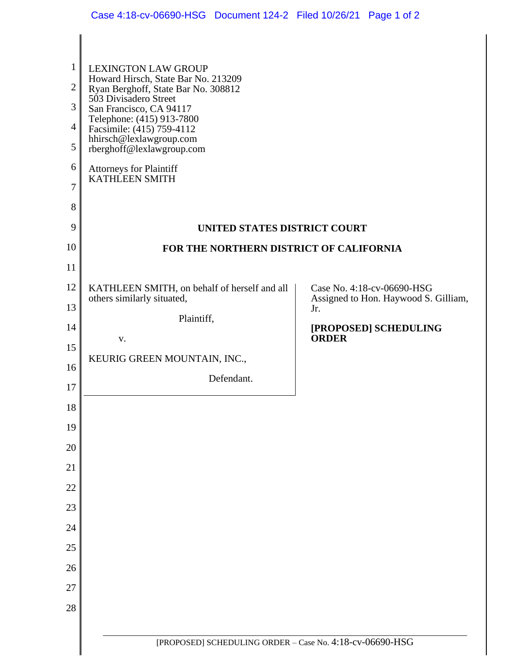| $\mathbf{1}$<br>$\overline{2}$<br>3<br>$\overline{4}$<br>5<br>6<br>7<br>8 | <b>LEXINGTON LAW GROUP</b><br>Howard Hirsch, State Bar No. 213209<br>Ryan Berghoff, State Bar No. 308812<br>503 Divisadero Street<br>San Francisco, CA 94117<br>Telephone: (415) 913-7800<br>Facsimile: (415) 759-4112<br>hhirsch@lexlawgroup.com<br>rberghoff@lexlawgroup.com<br><b>Attorneys for Plaintiff<br/>KATHLEEN SMITH</b> |                                             |
|---------------------------------------------------------------------------|-------------------------------------------------------------------------------------------------------------------------------------------------------------------------------------------------------------------------------------------------------------------------------------------------------------------------------------|---------------------------------------------|
| 9                                                                         | UNITED STATES DISTRICT COURT                                                                                                                                                                                                                                                                                                        |                                             |
| 10                                                                        | FOR THE NORTHERN DISTRICT OF CALIFORNIA                                                                                                                                                                                                                                                                                             |                                             |
| 11                                                                        |                                                                                                                                                                                                                                                                                                                                     |                                             |
| 12                                                                        | KATHLEEN SMITH, on behalf of herself and all                                                                                                                                                                                                                                                                                        | Case No. 4:18-cv-06690-HSG                  |
| 13                                                                        | others similarly situated,                                                                                                                                                                                                                                                                                                          | Assigned to Hon. Haywood S. Gilliam,<br>Jr. |
| 14                                                                        | Plaintiff,                                                                                                                                                                                                                                                                                                                          | [PROPOSED] SCHEDULING                       |
| 15                                                                        | V.                                                                                                                                                                                                                                                                                                                                  | <b>ORDER</b>                                |
| 16                                                                        | KEURIG GREEN MOUNTAIN, INC.,                                                                                                                                                                                                                                                                                                        |                                             |
| 17                                                                        | Defendant.                                                                                                                                                                                                                                                                                                                          |                                             |
| $18\,$                                                                    |                                                                                                                                                                                                                                                                                                                                     |                                             |
| 19                                                                        |                                                                                                                                                                                                                                                                                                                                     |                                             |
| 20                                                                        |                                                                                                                                                                                                                                                                                                                                     |                                             |
| 21                                                                        |                                                                                                                                                                                                                                                                                                                                     |                                             |
| 22                                                                        |                                                                                                                                                                                                                                                                                                                                     |                                             |
| 23                                                                        |                                                                                                                                                                                                                                                                                                                                     |                                             |
| 24                                                                        |                                                                                                                                                                                                                                                                                                                                     |                                             |
| 25                                                                        |                                                                                                                                                                                                                                                                                                                                     |                                             |
| 26                                                                        |                                                                                                                                                                                                                                                                                                                                     |                                             |
| 27                                                                        |                                                                                                                                                                                                                                                                                                                                     |                                             |
| 28                                                                        |                                                                                                                                                                                                                                                                                                                                     |                                             |
|                                                                           |                                                                                                                                                                                                                                                                                                                                     |                                             |
|                                                                           | [PROPOSED] SCHEDULING ORDER - Case No. 4:18-cv-06690-HSG                                                                                                                                                                                                                                                                            |                                             |